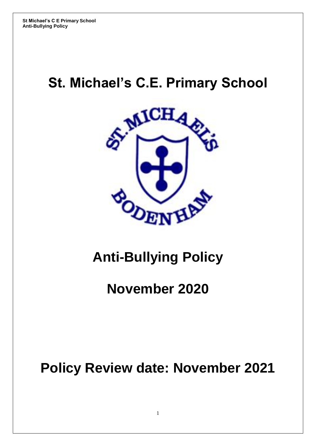# **St. Michael's C.E. Primary School**



# **Anti-Bullying Policy**

# **November 2020**

# **Policy Review date: November 2021**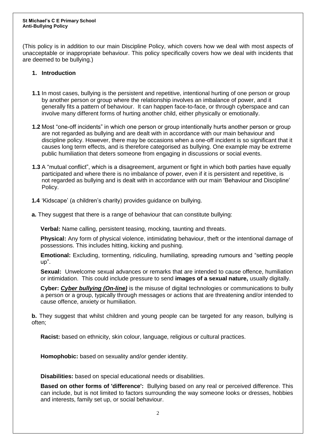#### **St Michael's C E Primary School Anti-Bullying Policy**

(This policy is in addition to our main Discipline Policy, which covers how we deal with most aspects of unacceptable or inappropriate behaviour. This policy specifically covers how we deal with incidents that are deemed to be bullying.)

### **1. Introduction**

- **1.1** In most cases, bullying is the persistent and repetitive, intentional hurting of one person or group by another person or group where the relationship involves an imbalance of power, and it generally fits a pattern of behaviour. It can happen face-to-face, or through cyberspace and can involve many different forms of hurting another child, either physically or emotionally.
- **1.2** Most "one-off incidents" in which one person or group intentionally hurts another person or group are not regarded as bullying and are dealt with in accordance with our main behaviour and discipline policy. However, there may be occasions when a one-off incident is so significant that it causes long term effects, and is therefore categorised as bullying. One example may be extreme public humiliation that deters someone from engaging in discussions or social events.
- **1.3** A "mutual conflict", which is a disagreement, argument or fight in which both parties have equally participated and where there is no imbalance of power, even if it is persistent and repetitive, is not regarded as bullying and is dealt with in accordance with our main 'Behaviour and Discipline' Policy.
- **1.4** 'Kidscape' (a children's charity) provides guidance on bullying.
- **a.** They suggest that there is a range of behaviour that can constitute bullying:

**Verbal:** Name calling, persistent teasing, mocking, taunting and threats.

**Physical:** Any form of physical violence, intimidating behaviour, theft or the intentional damage of possessions. This includes hitting, kicking and pushing.

**Emotional:** Excluding, tormenting, ridiculing, humiliating, spreading rumours and "setting people up".

**Sexual:** Unwelcome sexual advances or remarks that are intended to cause offence, humiliation or intimidation. This could include pressure to send **images of a sexual nature,** usually digitally.

**Cyber:** *[Cyber bullying](https://www.kidscape.org.uk/advice/facts-about-bullying/what-is-cyber-bullying/) (On-line)* is the misuse of digital technologies or communications to bully a person or a group, typically through messages or actions that are threatening and/or intended to cause offence, anxiety or humiliation.

**b.** They suggest that whilst children and young people can be targeted for any reason, bullying is often;

**Racist:** based on ethnicity, skin colour, language, religious or cultural practices.

**Homophobic:** based on sexuality and/or gender identity.

**Disabilities:** based on special educational needs or disabilities.

**Based on other forms of 'difference':** Bullying based on any real or perceived difference. This can include, but is not limited to factors surrounding the way someone looks or dresses, hobbies and interests, family set up, or social behaviour.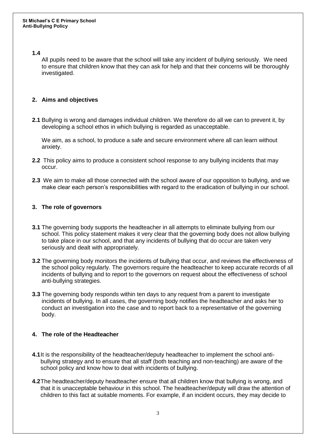# **1.4**

All pupils need to be aware that the school will take any incident of bullying seriously. We need to ensure that children know that they can ask for help and that their concerns will be thoroughly investigated.

# **2. Aims and objectives**

**2.1** Bullying is wrong and damages individual children. We therefore do all we can to prevent it, by developing a school ethos in which bullying is regarded as unacceptable.

We aim, as a school, to produce a safe and secure environment where all can learn without anxiety.

- **2.2** This policy aims to produce a consistent school response to any bullying incidents that may occur.
- **2.3** We aim to make all those connected with the school aware of our opposition to bullying, and we make clear each person's responsibilities with regard to the eradication of bullying in our school.

# **3. The role of governors**

- **3.1** The governing body supports the headteacher in all attempts to eliminate bullying from our school. This policy statement makes it very clear that the governing body does not allow bullying to take place in our school, and that any incidents of bullying that do occur are taken very seriously and dealt with appropriately.
- **3.2** The governing body monitors the incidents of bullying that occur, and reviews the effectiveness of the school policy regularly. The governors require the headteacher to keep accurate records of all incidents of bullying and to report to the governors on request about the effectiveness of school anti-bullying strategies.
- **3.3** The governing body responds within ten days to any request from a parent to investigate incidents of bullying. In all cases, the governing body notifies the headteacher and asks her to conduct an investigation into the case and to report back to a representative of the governing body.

# **4. The role of the Headteacher**

- **4.1**It is the responsibility of the headteacher/deputy headteacher to implement the school antibullying strategy and to ensure that all staff (both teaching and non-teaching) are aware of the school policy and know how to deal with incidents of bullying.
- **4.2**The headteacher/deputy headteacher ensure that all children know that bullying is wrong, and that it is unacceptable behaviour in this school. The headteacher/deputy will draw the attention of children to this fact at suitable moments. For example, if an incident occurs, they may decide to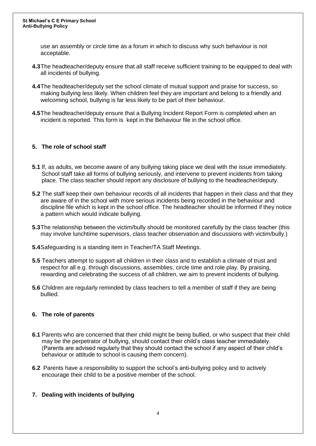#### **St Michael's C E Primary School Anti-Bullying Policy**

use an assembly or circle time as a forum in which to discuss why such behaviour is not acceptable.

- **4.3**The headteacher/deputy ensure that all staff receive sufficient training to be equipped to deal with all incidents of bullying.
- **4.4**The headteacher/deputy set the school climate of mutual support and praise for success, so making bullying less likely. When children feel they are important and belong to a friendly and welcoming school, bullying is far less likely to be part of their behaviour.
- **4.5**The headteacher/deputy ensure that a Bullying Incident Report Form is completed when an incident is reported. This form is kept in the Behaviour file in the school office.

# **5. The role of school staff**

- **5.1** If, as adults, we become aware of any bullying taking place we deal with the issue immediately. School staff take all forms of bullying seriously, and intervene to prevent incidents from taking place. The class teacher should report any disclosure of bullying to the headteacher/deputy.
- **5.2** The staff keep their own behaviour records of all incidents that happen in their class and that they are aware of in the school with more serious incidents being recorded in the behaviour and discipline file which is kept in the school office. The headteacher should be informed if they notice a pattern which would indicate bullying.
- **5.3**The relationship between the victim/bully should be monitored carefully by the class teacher (this may involve lunchtime supervisors, class teacher observation and discussions with victim/bully.)
- **5.4**Safeguarding is a standing item in Teacher/TA Staff Meetings.
- **5.5** Teachers attempt to support all children in their class and to establish a climate of trust and respect for all e.g. through discussions, assemblies, circle time and role play. By praising, rewarding and celebrating the success of all children, we aim to prevent incidents of bullying.
- **5.6** Children are regularly reminded by class teachers to tell a member of staff if they are being bullied.

# **6. The role of parents**

- **6.1** Parents who are concerned that their child might be being bullied, or who suspect that their child may be the perpetrator of bullying, should contact their child's class teacher immediately. (Parents are advised regularly that they should contact the school if any aspect of their child's behaviour or attitude to school is causing them concern).
- **6.2** Parents have a responsibility to support the school's anti-bullying policy and to actively encourage their child to be a positive member of the school.

# **7. Dealing with incidents of bullying**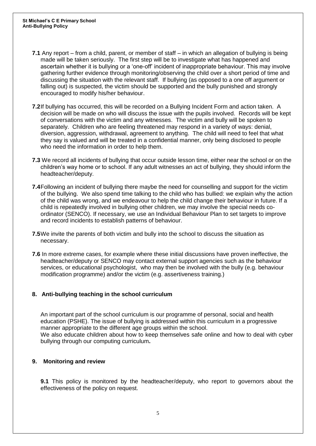- **7.1** Any report from a child, parent, or member of staff in which an allegation of bullying is being made will be taken seriously. The first step will be to investigate what has happened and ascertain whether it is bullying or a 'one-off' incident of inappropriate behaviour. This may involve gathering further evidence through monitoring/observing the child over a short period of time and discussing the situation with the relevant staff. If bullying (as opposed to a one off argument or falling out) is suspected, the victim should be supported and the bully punished and strongly encouraged to modify his/her behaviour.
- **7.2**If bullying has occurred, this will be recorded on a Bullying Incident Form and action taken. A decision will be made on who will discuss the issue with the pupils involved. Records will be kept of conversations with the victim and any witnesses. The victim and bully will be spoken to separately. Children who are feeling threatened may respond in a variety of ways: denial, diversion, aggression, withdrawal, agreement to anything. The child will need to feel that what they say is valued and will be treated in a confidential manner, only being disclosed to people who need the information in order to help them.
- **7.3** We record all incidents of bullying that occur outside lesson time, either near the school or on the children's way home or to school. If any adult witnesses an act of bullying, they should inform the headteacher/deputy.
- **7.4**Following an incident of bullying there maybe the need for counselling and support for the victim of the bullying. We also spend time talking to the child who has bullied: we explain why the action of the child was wrong, and we endeavour to help the child change their behaviour in future. If a child is repeatedly involved in bullying other children, we may involve the special needs coordinator (SENCO). If necessary, we use an Individual Behaviour Plan to set targets to improve and record incidents to establish patterns of behaviour.
- **7.5**We invite the parents of both victim and bully into the school to discuss the situation as necessary.
- **7.6** In more extreme cases, for example where these initial discussions have proven ineffective, the headteacher/deputy or SENCO may contact external support agencies such as the behaviour services, or educational psychologist, who may then be involved with the bully (e.g. behaviour modification programme) and/or the victim (e.g. assertiveness training.)

# **8. Anti-bullying teaching in the school curriculum**

An important part of the school curriculum is our programme of personal, social and health education (PSHE). The issue of bullying is addressed within this curriculum in a progressive manner appropriate to the different age groups within the school. We also educate children about how to keep themselves safe online and how to deal with cyber bullying through our computing curriculum**.**

# **9. Monitoring and review**

**9.1** This policy is monitored by the headteacher/deputy, who report to governors about the effectiveness of the policy on request.